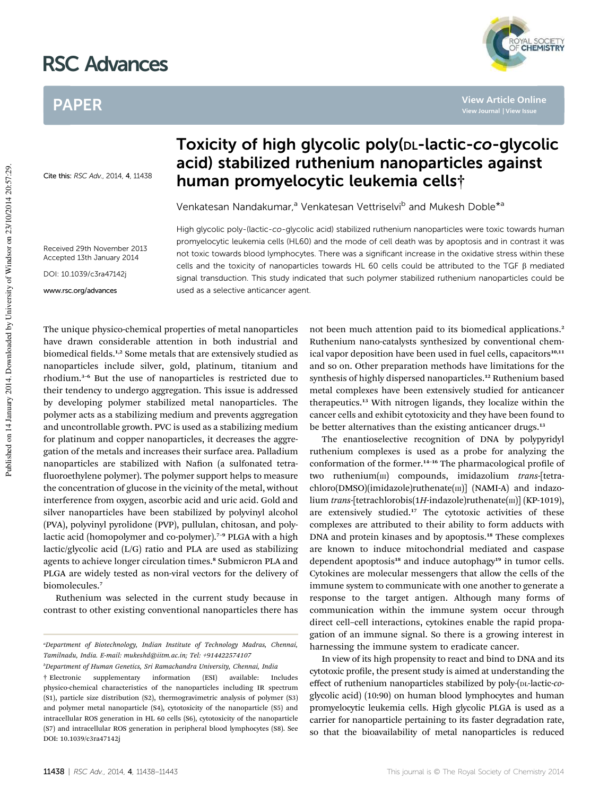# RSC Advances

## PAPER

Cite this: RSC Adv., 2014, 4, 11438

Received 29th November 2013 Accepted 13th January 2014 DOI: 10.1039/c3ra47142j

## Toxicity of high glycolic poly(DL-lactic-co-glycolic acid) stabilized ruthenium nanoparticles against human promyelocytic leukemia cells†

Venkatesan Nandakumar,<sup>a</sup> Venkatesan Vettriselvi<sup>b</sup> and Mukesh Doble<sup>\*a</sup>

High glycolic poly-(lactic-co-glycolic acid) stabilized ruthenium nanoparticles were toxic towards human promyelocytic leukemia cells (HL60) and the mode of cell death was by apoptosis and in contrast it was not toxic towards blood lymphocytes. There was a significant increase in the oxidative stress within these cells and the toxicity of nanoparticles towards HL 60 cells could be attributed to the TGF  $\beta$  mediated signal transduction. This study indicated that such polymer stabilized ruthenium nanoparticles could be used as a selective anticancer agent.

The unique physico-chemical properties of metal nanoparticles have drawn considerable attention in both industrial and biomedical fields.<sup>1,2</sup> Some metals that are extensively studied as nanoparticles include silver, gold, platinum, titanium and rhodium.<sup>3</sup>–<sup>6</sup> But the use of nanoparticles is restricted due to their tendency to undergo aggregation. This issue is addressed by developing polymer stabilized metal nanoparticles. The polymer acts as a stabilizing medium and prevents aggregation www.rsc.org/advances

and uncontrollable growth. PVC is used as a stabilizing medium for platinum and copper nanoparticles, it decreases the aggregation of the metals and increases their surface area. Palladium nanoparticles are stabilized with Nafion (a sulfonated tetrafluoroethylene polymer). The polymer support helps to measure the concentration of glucose in the vicinity of the metal, without interference from oxygen, ascorbic acid and uric acid. Gold and silver nanoparticles have been stabilized by polyvinyl alcohol (PVA), polyvinyl pyrolidone (PVP), pullulan, chitosan, and polylactic acid (homopolymer and co-polymer).<sup>7-9</sup> PLGA with a high lactic/glycolic acid (L/G) ratio and PLA are used as stabilizing agents to achieve longer circulation times.<sup>8</sup> Submicron PLA and PLGA are widely tested as non-viral vectors for the delivery of biomolecules.<sup>7</sup>

Ruthenium was selected in the current study because in contrast to other existing conventional nanoparticles there has

*<sup>b</sup>Department of Human Genetics, Sri Ramachandra University, Chennai, India*

not been much attention paid to its biomedical applications.<sup>2</sup> Ruthenium nano-catalysts synthesized by conventional chemical vapor deposition have been used in fuel cells, capacitors<sup>10,11</sup> and so on. Other preparation methods have limitations for the synthesis of highly dispersed nanoparticles.<sup>12</sup> Ruthenium based metal complexes have been extensively studied for anticancer therapeutics.<sup>13</sup> With nitrogen ligands, they localize within the cancer cells and exhibit cytotoxicity and they have been found to be better alternatives than the existing anticancer drugs.<sup>13</sup>

The enantioselective recognition of DNA by polypyridyl ruthenium complexes is used as a probe for analyzing the conformation of the former.<sup>14–16</sup> The pharmacological profile of two ruthenium(III) compounds, imidazolium *trans*-[tetrachloro(DMSO)(imidazole)ruthenate(m)] (NAMI-A) and indazolium *trans*-[tetrachlorobis(1*H*-indazole)ruthenate(m)] (KP-1019), are extensively studied.<sup>17</sup> The cytotoxic activities of these complexes are attributed to their ability to form adducts with DNA and protein kinases and by apoptosis.<sup>18</sup> These complexes are known to induce mitochondrial mediated and caspase dependent apoptosis<sup>18</sup> and induce autophagy<sup>19</sup> in tumor cells. Cytokines are molecular messengers that allow the cells of the immune system to communicate with one another to generate a response to the target antigen. Although many forms of communication within the immune system occur through direct cell–cell interactions, cytokines enable the rapid propagation of an immune signal. So there is a growing interest in harnessing the immune system to eradicate cancer.

In view of its high propensity to react and bind to DNA and its cytotoxic profile, the present study is aimed at understanding the effect of ruthenium nanoparticles stabilized by poly-(DL-lactic-*co*glycolic acid) (10:90) on human blood lymphocytes and human promyelocytic leukemia cells. High glycolic PLGA is used as a carrier for nanoparticle pertaining to its faster degradation rate, so that the bioavailability of metal nanoparticles is reduced

**YAL SOCIETY** 

**View Article Online**

*<sup>a</sup>Department of Biotechnology, Indian Institute of Technology Madras, Chennai, Tamilnadu, India. E-mail: mukeshd@iitm.ac.in; Tel: +914422574107*

<sup>†</sup> Electronic supplementary information (ESI) available: Includes physico-chemical characteristics of the nanoparticles including IR spectrum (S1), particle size distribution (S2), thermogravimetric analysis of polymer (S3) and polymer metal nanoparticle (S4), cytotoxicity of the nanoparticle (S5) and intracellular ROS generation in HL 60 cells (S6), cytotoxicity of the nanoparticle (S7) and intracellular ROS generation in peripheral blood lymphocytes (S8). See DOI: 10.1039/c3ra47142j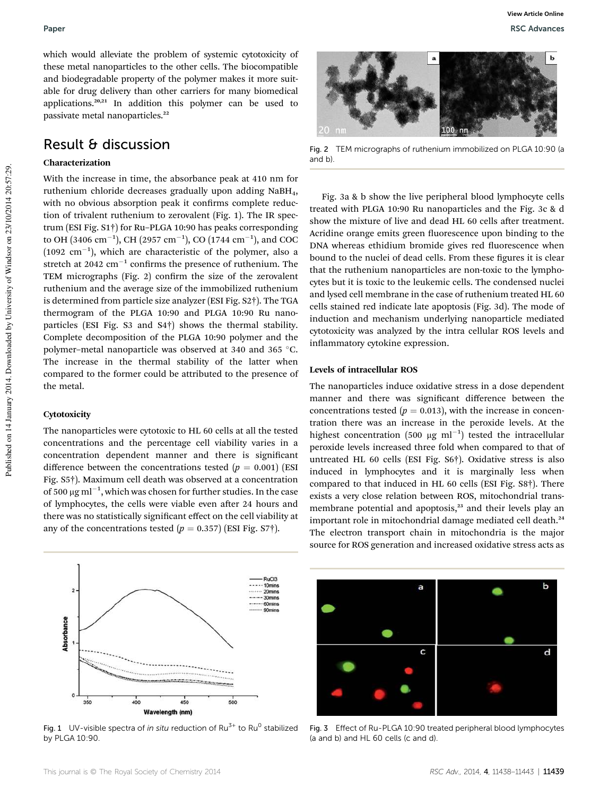which would alleviate the problem of systemic cytotoxicity of these metal nanoparticles to the other cells. The biocompatible and biodegradable property of the polymer makes it more suitable for drug delivery than other carriers for many biomedical applications.20,21 In addition this polymer can be used to passivate metal nanoparticles.<sup>22</sup>

### Result & discussion

#### Characterization

With the increase in time, the absorbance peak at 410 nm for ruthenium chloride decreases gradually upon adding NaBH4, with no obvious absorption peak it confirms complete reduction of trivalent ruthenium to zerovalent (Fig. 1). The IR spectrum (ESI Fig. S1†) for Ru–PLGA 10:90 has peaks corresponding to OH (3406 cm<sup>-1</sup>), CH (2957 cm<sup>-1</sup>), CO (1744 cm<sup>-1</sup>), and COC  $(1092 \text{ cm}^{-1})$ , which are characteristic of the polymer, also a stretch at  $2042 \text{ cm}^{-1}$  confirms the presence of ruthenium. The TEM micrographs (Fig. 2) confirm the size of the zerovalent ruthenium and the average size of the immobilized ruthenium is determined from particle size analyzer (ESI Fig. S2†). The TGA thermogram of the PLGA 10:90 and PLGA 10:90 Ru nanoparticles (ESI Fig. S3 and S4†) shows the thermal stability. Complete decomposition of the PLGA 10:90 polymer and the polymer–metal nanoparticle was observed at 340 and 365 °C. The increase in the thermal stability of the latter when compared to the former could be attributed to the presence of the metal.

#### Cytotoxicity

The nanoparticles were cytotoxic to HL 60 cells at all the tested concentrations and the percentage cell viability varies in a concentration dependent manner and there is signicant difference between the concentrations tested  $(p = 0.001)$  (ESI Fig. S5†). Maximum cell death was observed at a concentration of 500  $\mu$ g ml<sup>-1</sup>, which was chosen for further studies. In the case of lymphocytes, the cells were viable even after 24 hours and there was no statistically significant effect on the cell viability at any of the concentrations tested  $(p = 0.357)$  (ESI Fig. S7†).



Fig. 1 UV-visible spectra of in situ reduction of Ru<sup>3+</sup> to Ru<sup>0</sup> stabilized by PLGA 10:90.



Fig. 2 TEM micrographs of ruthenium immobilized on PLGA 10:90 (a and b).

Fig. 3a & b show the live peripheral blood lymphocyte cells treated with PLGA 10:90 Ru nanoparticles and the Fig. 3c & d show the mixture of live and dead HL 60 cells after treatment. Acridine orange emits green fluorescence upon binding to the DNA whereas ethidium bromide gives red fluorescence when bound to the nuclei of dead cells. From these figures it is clear that the ruthenium nanoparticles are non-toxic to the lymphocytes but it is toxic to the leukemic cells. The condensed nuclei and lysed cell membrane in the case of ruthenium treated HL 60 cells stained red indicate late apoptosis (Fig. 3d). The mode of induction and mechanism underlying nanoparticle mediated cytotoxicity was analyzed by the intra cellular ROS levels and inflammatory cytokine expression.

#### Levels of intracellular ROS

The nanoparticles induce oxidative stress in a dose dependent manner and there was significant difference between the concentrations tested ( $p = 0.013$ ), with the increase in concentration there was an increase in the peroxide levels. At the highest concentration (500  $\mu$ g ml<sup>-1</sup>) tested the intracellular peroxide levels increased three fold when compared to that of untreated HL 60 cells (ESI Fig. S6†). Oxidative stress is also induced in lymphocytes and it is marginally less when compared to that induced in HL 60 cells (ESI Fig. S8†). There exists a very close relation between ROS, mitochondrial transmembrane potential and apoptosis,<sup>23</sup> and their levels play an important role in mitochondrial damage mediated cell death.<sup>24</sup> The electron transport chain in mitochondria is the major source for ROS generation and increased oxidative stress acts as



Fig. 3 Effect of Ru-PLGA 10:90 treated peripheral blood lymphocytes (a and b) and HL 60 cells (c and d).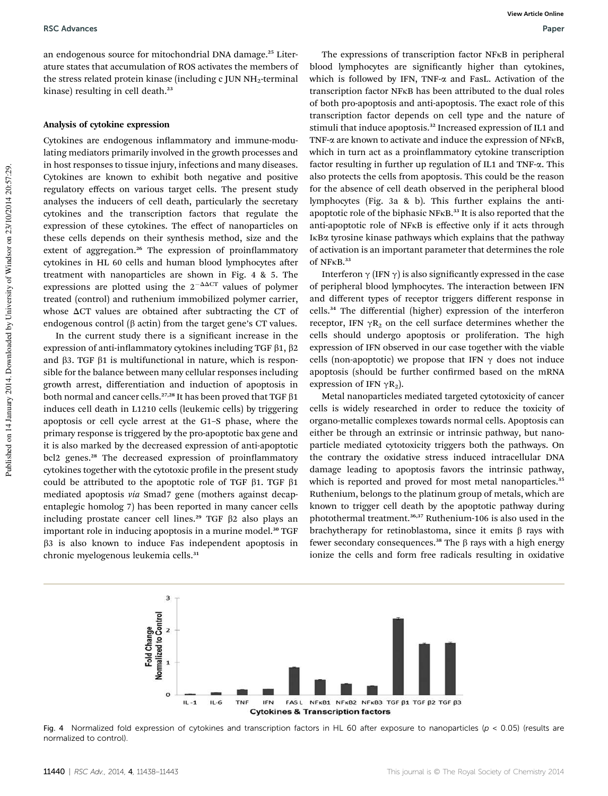an endogenous source for mitochondrial DNA damage.<sup>25</sup> Literature states that accumulation of ROS activates the members of the stress related protein kinase (including c JUN NH<sub>2</sub>-terminal kinase) resulting in cell death.<sup>23</sup>

#### Analysis of cytokine expression

Cytokines are endogenous inflammatory and immune-modulating mediators primarily involved in the growth processes and in host responses to tissue injury, infections and many diseases. Cytokines are known to exhibit both negative and positive regulatory effects on various target cells. The present study analyses the inducers of cell death, particularly the secretary cytokines and the transcription factors that regulate the expression of these cytokines. The effect of nanoparticles on these cells depends on their synthesis method, size and the extent of aggregation.<sup>26</sup> The expression of proinflammatory cytokines in HL 60 cells and human blood lymphocytes after treatment with nanoparticles are shown in Fig. 4 & 5. The expressions are plotted using the  $2^{-\Delta\Delta CT}$  values of polymer treated (control) and ruthenium immobilized polymer carrier, whose  $\Delta CT$  values are obtained after subtracting the CT of endogenous control ( $\beta$  actin) from the target gene's CT values.

In the current study there is a significant increase in the expression of anti-inflammatory cytokines including TGF  $\beta$ 1,  $\beta$ 2 and  $\beta$ 3. TGF  $\beta$ 1 is multifunctional in nature, which is responsible for the balance between many cellular responses including growth arrest, differentiation and induction of apoptosis in both normal and cancer cells.<sup>27,28</sup> It has been proved that TGF  $\beta$ 1 induces cell death in L1210 cells (leukemic cells) by triggering apoptosis or cell cycle arrest at the G1–S phase, where the primary response is triggered by the pro-apoptotic bax gene and it is also marked by the decreased expression of anti-apoptotic bcl2 genes.<sup>28</sup> The decreased expression of proinflammatory cytokines together with the cytotoxic profile in the present study could be attributed to the apoptotic role of TGF  $\beta$ 1. TGF  $\beta$ 1 mediated apoptosis *via* Smad7 gene (mothers against decapentaplegic homolog 7) has been reported in many cancer cells including prostate cancer cell lines.<sup>29</sup> TGF  $\beta$ 2 also plays an important role in inducing apoptosis in a murine model.<sup>30</sup> TGF  $\beta$ 3 is also known to induce Fas independent apoptosis in chronic myelogenous leukemia cells.<sup>31</sup>

The expressions of transcription factor NFkB in peripheral blood lymphocytes are significantly higher than cytokines, which is followed by IFN, TNF-a and FasL. Activation of the transcription factor NFkB has been attributed to the dual roles of both pro-apoptosis and anti-apoptosis. The exact role of this transcription factor depends on cell type and the nature of stimuli that induce apoptosis.<sup>32</sup> Increased expression of IL1 and TNF- $\alpha$  are known to activate and induce the expression of NF $\kappa$ B, which in turn act as a proinflammatory cytokine transcription factor resulting in further up regulation of IL1 and TNF-a. This also protects the cells from apoptosis. This could be the reason for the absence of cell death observed in the peripheral blood lymphocytes (Fig. 3a & b). This further explains the antiapoptotic role of the biphasic NFKB.<sup>33</sup> It is also reported that the anti-apoptotic role of NFkB is effective only if it acts through IkBa tyrosine kinase pathways which explains that the pathway of activation is an important parameter that determines the role of NFkB.<sup>33</sup>

Interferon  $\gamma$  (IFN  $\gamma$ ) is also significantly expressed in the case of peripheral blood lymphocytes. The interaction between IFN and different types of receptor triggers different response in cells.<sup>34</sup> The differential (higher) expression of the interferon receptor, IFN  $\gamma R_2$  on the cell surface determines whether the cells should undergo apoptosis or proliferation. The high expression of IFN observed in our case together with the viable cells (non-apoptotic) we propose that IFN  $\gamma$  does not induce apoptosis (should be further confirmed based on the mRNA expression of IFN  $\gamma$ R<sub>2</sub>).

Metal nanoparticles mediated targeted cytotoxicity of cancer cells is widely researched in order to reduce the toxicity of organo-metallic complexes towards normal cells. Apoptosis can either be through an extrinsic or intrinsic pathway, but nanoparticle mediated cytotoxicity triggers both the pathways. On the contrary the oxidative stress induced intracellular DNA damage leading to apoptosis favors the intrinsic pathway, which is reported and proved for most metal nanoparticles.<sup>35</sup> Ruthenium, belongs to the platinum group of metals, which are known to trigger cell death by the apoptotic pathway during photothermal treatment.<sup>36,37</sup> Ruthenium-106 is also used in the brachytherapy for retinoblastoma, since it emits  $\beta$  rays with fewer secondary consequences.<sup>38</sup> The  $\beta$  rays with a high energy ionize the cells and form free radicals resulting in oxidative



Fig. 4 Normalized fold expression of cytokines and transcription factors in HL 60 after exposure to nanoparticles ( $p < 0.05$ ) (results are normalized to control).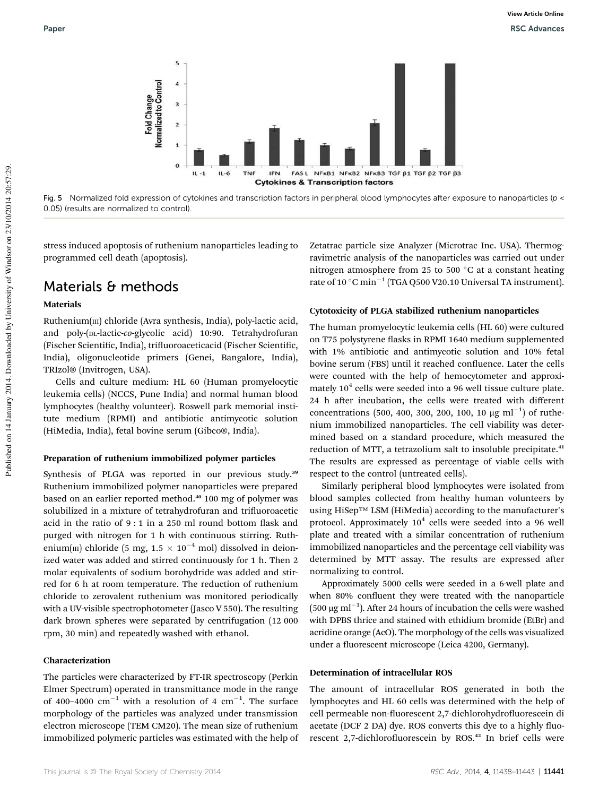

Fig. 5 Normalized fold expression of cytokines and transcription factors in peripheral blood lymphocytes after exposure to nanoparticles (p < 0.05) (results are normalized to control).

stress induced apoptosis of ruthenium nanoparticles leading to programmed cell death (apoptosis).

### Materials & methods

#### Materials

 $Ruthenium(m)$  chloride (Avra synthesis, India), poly-lactic acid, and poly-(DL-lactic-*co*-glycolic acid) 10:90. Tetrahydrofuran (Fischer Scientific, India), trifluoroaceticacid (Fischer Scientific, India), oligonucleotide primers (Genei, Bangalore, India), TRIzol® (Invitrogen, USA).

Cells and culture medium: HL 60 (Human promyelocytic leukemia cells) (NCCS, Pune India) and normal human blood lymphocytes (healthy volunteer). Roswell park memorial institute medium (RPMI) and antibiotic antimycotic solution (HiMedia, India), fetal bovine serum (Gibco®, India).

#### Preparation of ruthenium immobilized polymer particles

Synthesis of PLGA was reported in our previous study.<sup>39</sup> Ruthenium immobilized polymer nanoparticles were prepared based on an earlier reported method.<sup>40</sup> 100 mg of polymer was solubilized in a mixture of tetrahydrofuran and trifluoroacetic acid in the ratio of  $9:1$  in a 250 ml round bottom flask and purged with nitrogen for 1 h with continuous stirring. Ruthenium(III) chloride (5 mg,  $1.5 \times 10^{-4}$  mol) dissolved in deionized water was added and stirred continuously for 1 h. Then 2 molar equivalents of sodium borohydride was added and stirred for 6 h at room temperature. The reduction of ruthenium chloride to zerovalent ruthenium was monitored periodically with a UV-visible spectrophotometer (Jasco V 550). The resulting dark brown spheres were separated by centrifugation (12 000 rpm, 30 min) and repeatedly washed with ethanol.

#### Characterization

The particles were characterized by FT-IR spectroscopy (Perkin Elmer Spectrum) operated in transmittance mode in the range of 400-4000  $\text{cm}^{-1}$  with a resolution of 4  $\text{cm}^{-1}$ . The surface morphology of the particles was analyzed under transmission electron microscope (TEM CM20). The mean size of ruthenium immobilized polymeric particles was estimated with the help of Zetatrac particle size Analyzer (Microtrac Inc. USA). Thermogravimetric analysis of the nanoparticles was carried out under nitrogen atmosphere from 25 to 500  $^{\circ}$ C at a constant heating rate of 10  $^{\circ}$ C min<sup>-1</sup> (TGA Q500 V20.10 Universal TA instrument).

#### Cytotoxicity of PLGA stabilized ruthenium nanoparticles

The human promyelocytic leukemia cells (HL 60) were cultured on T75 polystyrene flasks in RPMI 1640 medium supplemented with 1% antibiotic and antimycotic solution and 10% fetal bovine serum (FBS) until it reached confluence. Later the cells were counted with the help of hemocytometer and approximately  $10^4$  cells were seeded into a 96 well tissue culture plate. 24 h after incubation, the cells were treated with different concentrations (500, 400, 300, 200, 100, 10  $\mu$ g ml<sup>-1</sup>) of ruthenium immobilized nanoparticles. The cell viability was determined based on a standard procedure, which measured the reduction of MTT, a tetrazolium salt to insoluble precipitate.<sup>41</sup> The results are expressed as percentage of viable cells with respect to the control (untreated cells).

Similarly peripheral blood lymphocytes were isolated from blood samples collected from healthy human volunteers by using HiSep™ LSM (HiMedia) according to the manufacturer's protocol. Approximately  $10^4$  cells were seeded into a 96 well plate and treated with a similar concentration of ruthenium immobilized nanoparticles and the percentage cell viability was determined by MTT assay. The results are expressed after normalizing to control.

Approximately 5000 cells were seeded in a 6-well plate and when 80% confluent they were treated with the nanoparticle  $(500 \ \mu g \text{ ml}^{-1})$ . After 24 hours of incubation the cells were washed with DPBS thrice and stained with ethidium bromide (EtBr) and acridine orange (AcO). The morphology of the cells was visualized under a fluorescent microscope (Leica 4200, Germany).

#### Determination of intracellular ROS

The amount of intracellular ROS generated in both the lymphocytes and HL 60 cells was determined with the help of cell permeable non-fluorescent 2,7-dichlorohydrofluorescein di acetate (DCF 2 DA) dye. ROS converts this dye to a highly fluorescent 2,7-dichlorofluorescein by ROS.<sup>42</sup> In brief cells were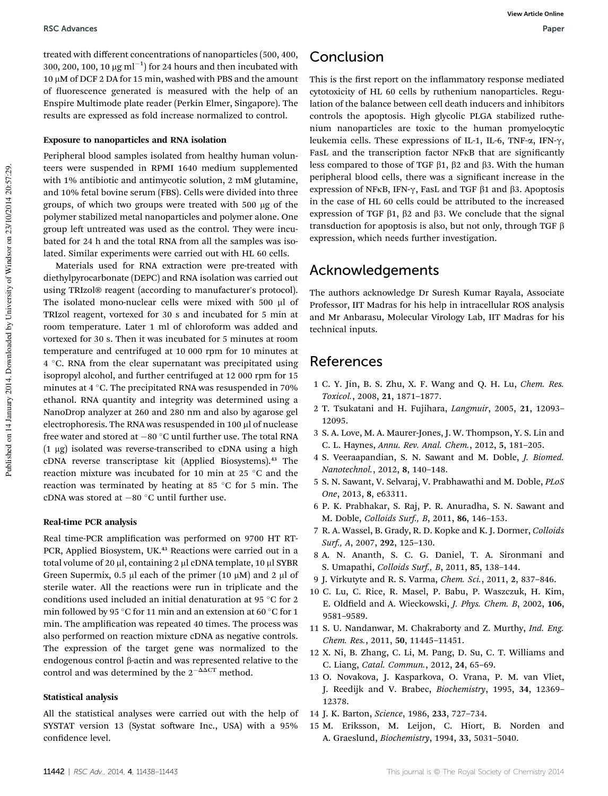treated with different concentrations of nanoparticles (500, 400, 300, 200, 100, 10  $\mu$ g ml<sup>-1</sup>) for 24 hours and then incubated with  $10 \mu$ M of DCF 2 DA for 15 min, washed with PBS and the amount of fluorescence generated is measured with the help of an Enspire Multimode plate reader (Perkin Elmer, Singapore). The results are expressed as fold increase normalized to control.

#### Exposure to nanoparticles and RNA isolation

Peripheral blood samples isolated from healthy human volunteers were suspended in RPMI 1640 medium supplemented with 1% antibiotic and antimycotic solution, 2 mM glutamine, and 10% fetal bovine serum (FBS). Cells were divided into three groups, of which two groups were treated with 500 mg of the polymer stabilized metal nanoparticles and polymer alone. One group left untreated was used as the control. They were incubated for 24 h and the total RNA from all the samples was isolated. Similar experiments were carried out with HL 60 cells.

Materials used for RNA extraction were pre-treated with diethylpyrocarbonate (DEPC) and RNA isolation was carried out using TRIzol® reagent (according to manufacturer's protocol). The isolated mono-nuclear cells were mixed with 500 µl of TRIzol reagent, vortexed for 30 s and incubated for 5 min at room temperature. Later 1 ml of chloroform was added and vortexed for 30 s. Then it was incubated for 5 minutes at room temperature and centrifuged at 10 000 rpm for 10 minutes at 4 C. RNA from the clear supernatant was precipitated using isopropyl alcohol, and further centrifuged at 12 000 rpm for 15 minutes at 4  $\degree$ C. The precipitated RNA was resuspended in 70% ethanol. RNA quantity and integrity was determined using a NanoDrop analyzer at 260 and 280 nm and also by agarose gel electrophoresis. The RNA was resuspended in 100  $\mu$ l of nuclease free water and stored at  $-80$  °C until further use. The total RNA  $(1 \mu g)$  isolated was reverse-transcribed to cDNA using a high cDNA reverse transcriptase kit (Applied Biosystems).<sup>43</sup> The reaction mixture was incubated for 10 min at 25 °C and the reaction was terminated by heating at 85  $\degree$ C for 5 min. The cDNA was stored at  $-80$  °C until further use.

#### Real-time PCR analysis

Real time-PCR amplification was performed on 9700 HT RT-PCR, Applied Biosystem, UK.<sup>43</sup> Reactions were carried out in a total volume of 20 µl, containing 2 µl cDNA template, 10 µl SYBR Green Supermix, 0.5  $\mu$ l each of the primer (10  $\mu$ M) and 2  $\mu$ l of sterile water. All the reactions were run in triplicate and the conditions used included an initial denaturation at 95  $\degree$ C for 2 min followed by 95 °C for 11 min and an extension at 60 °C for 1 min. The amplification was repeated 40 times. The process was also performed on reaction mixture cDNA as negative controls. The expression of the target gene was normalized to the endogenous control  $\beta$ -actin and was represented relative to the control and was determined by the  $2^{-\Delta\Delta CT}$  method.

#### Statistical analysis

All the statistical analyses were carried out with the help of SYSTAT version 13 (Systat software Inc., USA) with a 95% confidence level.

## Conclusion

This is the first report on the inflammatory response mediated cytotoxicity of HL 60 cells by ruthenium nanoparticles. Regulation of the balance between cell death inducers and inhibitors controls the apoptosis. High glycolic PLGA stabilized ruthenium nanoparticles are toxic to the human promyelocytic leukemia cells. These expressions of IL-1, IL-6, TNF- $\alpha$ , IFN- $\gamma$ , FasL and the transcription factor NFKB that are significantly less compared to those of TGF  $\beta$ 1,  $\beta$ 2 and  $\beta$ 3. With the human peripheral blood cells, there was a significant increase in the expression of NFKB, IFN- $\gamma$ , FasL and TGF  $\beta$ 1 and  $\beta$ 3. Apoptosis in the case of HL 60 cells could be attributed to the increased expression of TGF  $\beta$ 1,  $\beta$ 2 and  $\beta$ 3. We conclude that the signal transduction for apoptosis is also, but not only, through TGF  $\beta$ expression, which needs further investigation.

## Acknowledgements

The authors acknowledge Dr Suresh Kumar Rayala, Associate Professor, IIT Madras for his help in intracellular ROS analysis and Mr Anbarasu, Molecular Virology Lab, IIT Madras for his technical inputs.

### References

- 1 C. Y. Jin, B. S. Zhu, X. F. Wang and Q. H. Lu, *Chem. Res. Toxicol.*, 2008, 21, 1871–1877.
- 2 T. Tsukatani and H. Fujihara, *Langmuir*, 2005, 21, 12093– 12095.
- 3 S. A. Love, M. A. Maurer-Jones, J. W. Thompson, Y. S. Lin and C. L. Haynes, *Annu. Rev. Anal. Chem.*, 2012, 5, 181–205.
- 4 S. Veeraapandian, S. N. Sawant and M. Doble, *J. Biomed. Nanotechnol.*, 2012, 8, 140–148.
- 5 S. N. Sawant, V. Selvaraj, V. Prabhawathi and M. Doble, *PLoS One*, 2013, 8, e63311.
- 6 P. K. Prabhakar, S. Raj, P. R. Anuradha, S. N. Sawant and M. Doble, *Colloids Surf., B*, 2011, 86, 146–153.
- 7 R. A. Wassel, B. Grady, R. D. Kopke and K. J. Dormer, *Colloids Surf., A*, 2007, 292, 125–130.
- 8 A. N. Ananth, S. C. G. Daniel, T. A. Sironmani and S. Umapathi, *Colloids Surf., B*, 2011, 85, 138–144.
- 9 J. Virkutyte and R. S. Varma, *Chem. Sci.*, 2011, 2, 837–846.
- 10 C. Lu, C. Rice, R. Masel, P. Babu, P. Waszczuk, H. Kim, E. Oldfield and A. Wieckowski, *J. Phys. Chem. B*, 2002, 106, 9581–9589.
- 11 S. U. Nandanwar, M. Chakraborty and Z. Murthy, *Ind. Eng. Chem. Res.*, 2011, 50, 11445–11451.
- 12 X. Ni, B. Zhang, C. Li, M. Pang, D. Su, C. T. Williams and C. Liang, *Catal. Commun.*, 2012, 24, 65–69.
- 13 O. Novakova, J. Kasparkova, O. Vrana, P. M. van Vliet, J. Reedijk and V. Brabec, *Biochemistry*, 1995, 34, 12369– 12378.
- 14 J. K. Barton, *Science*, 1986, 233, 727–734.
- 15 M. Eriksson, M. Leijon, C. Hiort, B. Norden and A. Graeslund, *Biochemistry*, 1994, 33, 5031–5040.